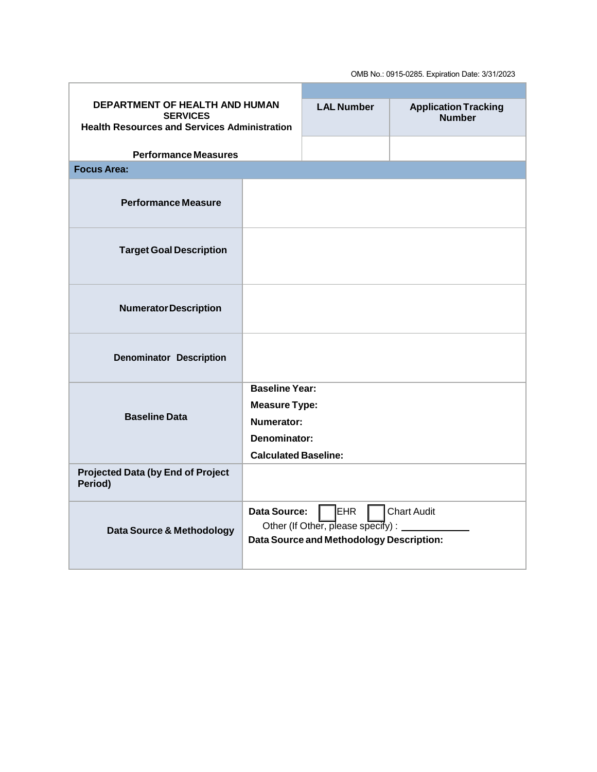OMB No.: 0915-0285. Expiration Date: 3/31/2023

| <b>DEPARTMENT OF HEALTH AND HUMAN</b>                                  |                             | <b>LAL Number</b>                                                                                     | <b>Application Tracking</b> |  |
|------------------------------------------------------------------------|-----------------------------|-------------------------------------------------------------------------------------------------------|-----------------------------|--|
| <b>SERVICES</b><br><b>Health Resources and Services Administration</b> |                             |                                                                                                       | <b>Number</b>               |  |
|                                                                        |                             |                                                                                                       |                             |  |
| <b>Performance Measures</b>                                            |                             |                                                                                                       |                             |  |
| <b>Focus Area:</b>                                                     |                             |                                                                                                       |                             |  |
| <b>Performance Measure</b>                                             |                             |                                                                                                       |                             |  |
| <b>Target Goal Description</b>                                         |                             |                                                                                                       |                             |  |
| <b>Numerator Description</b>                                           |                             |                                                                                                       |                             |  |
| <b>Denominator Description</b>                                         |                             |                                                                                                       |                             |  |
| <b>Baseline Data</b>                                                   | <b>Baseline Year:</b>       |                                                                                                       |                             |  |
|                                                                        | <b>Measure Type:</b>        |                                                                                                       |                             |  |
|                                                                        | Numerator:                  |                                                                                                       |                             |  |
|                                                                        | <b>Denominator:</b>         |                                                                                                       |                             |  |
|                                                                        | <b>Calculated Baseline:</b> |                                                                                                       |                             |  |
| <b>Projected Data (by End of Project</b><br>Period)                    |                             |                                                                                                       |                             |  |
| Data Source & Methodology                                              | <b>Data Source:</b>         | <b>EHR</b><br>Other (If Other, please specify) : ________<br>Data Source and Methodology Description: | <b>Chart Audit</b>          |  |